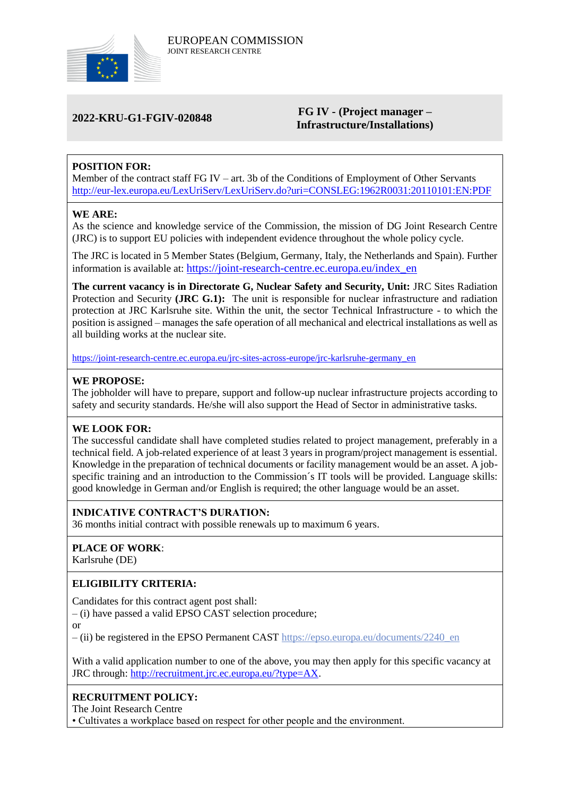

#### **2022-KRU-G1-FGIV-020848 FG IV - (Project manager – Infrastructure/Installations)**

# **POSITION FOR:**

Member of the contract staff FG IV – art. 3b of the Conditions of Employment of Other Servants <http://eur-lex.europa.eu/LexUriServ/LexUriServ.do?uri=CONSLEG:1962R0031:20110101:EN:PDF>

#### **WE ARE:**

As the science and knowledge service of the Commission, the mission of DG Joint Research Centre (JRC) is to support EU policies with independent evidence throughout the whole policy cycle.

The JRC is located in 5 Member States (Belgium, Germany, Italy, the Netherlands and Spain). Further information is available at: [https://joint-research-centre.ec.europa.eu/index\\_en](https://joint-research-centre.ec.europa.eu/index_en)

**The current vacancy is in Directorate G, Nuclear Safety and Security, Unit:** JRC Sites Radiation Protection and Security **(JRC G.1):** The unit is responsible for nuclear infrastructure and radiation protection at JRC Karlsruhe site. Within the unit, the sector Technical Infrastructure - to which the position is assigned – manages the safe operation of all mechanical and electrical installations as well as all building works at the nuclear site.

[https://joint-research-centre.ec.europa.eu/jrc-sites-across-europe/jrc-karlsruhe-germany\\_en](https://joint-research-centre.ec.europa.eu/jrc-sites-across-europe/jrc-karlsruhe-germany_en)

#### **WE PROPOSE:**

The jobholder will have to prepare, support and follow-up nuclear infrastructure projects according to safety and security standards. He/she will also support the Head of Sector in administrative tasks.

## **WE LOOK FOR:**

The successful candidate shall have completed studies related to project management, preferably in a technical field. A job-related experience of at least 3 years in program/project management is essential. Knowledge in the preparation of technical documents or facility management would be an asset. A jobspecific training and an introduction to the Commission´s IT tools will be provided. Language skills: good knowledge in German and/or English is required; the other language would be an asset.

## **INDICATIVE CONTRACT'S DURATION:**

36 months initial contract with possible renewals up to maximum 6 years.

## **PLACE OF WORK**:

Karlsruhe (DE)

## **ELIGIBILITY CRITERIA:**

Candidates for this contract agent post shall:

– (i) have passed a valid EPSO CAST selection procedure;

or

– (ii) be registered in the EPSO Permanent CAST [https://epso.europa.eu/documents/2240\\_en](https://epso.europa.eu/documents/2240_en)

With a valid application number to one of the above, you may then apply for this specific vacancy at JRC through: [http://recruitment.jrc.ec.europa.eu/?type=AX.](http://recruitment.jrc.ec.europa.eu/?type=AX)

#### **RECRUITMENT POLICY:**

The Joint Research Centre

• Cultivates a workplace based on respect for other people and the environment.